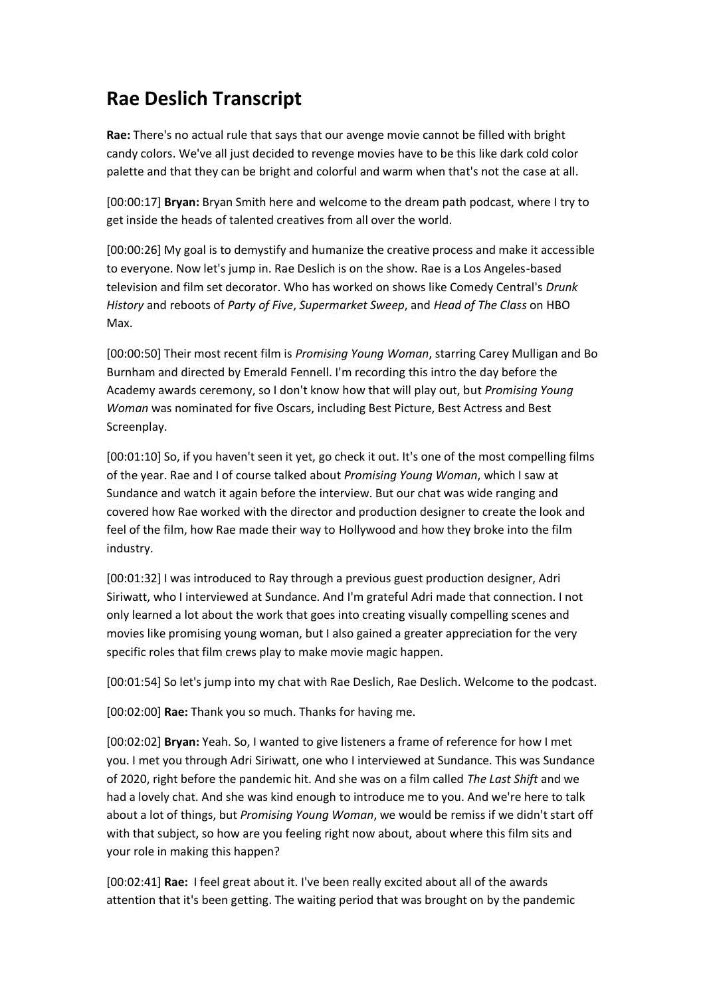# **Rae Deslich Transcript**

**Rae:** There's no actual rule that says that our avenge movie cannot be filled with bright candy colors. We've all just decided to revenge movies have to be this like dark cold color palette and that they can be bright and colorful and warm when that's not the case at all.

[00:00:17] **Bryan:** Bryan Smith here and welcome to the dream path podcast, where I try to get inside the heads of talented creatives from all over the world.

[00:00:26] My goal is to demystify and humanize the creative process and make it accessible to everyone. Now let's jump in. Rae Deslich is on the show. Rae is a Los Angeles-based television and film set decorator. Who has worked on shows like Comedy Central's *Drunk History* and reboots of *Party of Five*, *Supermarket Sweep*, and *Head of The Class* on HBO Max.

[00:00:50] Their most recent film is *Promising Young Woman*, starring Carey Mulligan and Bo Burnham and directed by Emerald Fennell. I'm recording this intro the day before the Academy awards ceremony, so I don't know how that will play out, but *Promising Young Woman* was nominated for five Oscars, including Best Picture, Best Actress and Best Screenplay.

[00:01:10] So, if you haven't seen it yet, go check it out. It's one of the most compelling films of the year. Rae and I of course talked about *Promising Young Woman*, which I saw at Sundance and watch it again before the interview. But our chat was wide ranging and covered how Rae worked with the director and production designer to create the look and feel of the film, how Rae made their way to Hollywood and how they broke into the film industry.

[00:01:32] I was introduced to Ray through a previous guest production designer, Adri Siriwatt, who I interviewed at Sundance. And I'm grateful Adri made that connection. I not only learned a lot about the work that goes into creating visually compelling scenes and movies like promising young woman, but I also gained a greater appreciation for the very specific roles that film crews play to make movie magic happen.

[00:01:54] So let's jump into my chat with Rae Deslich, Rae Deslich. Welcome to the podcast.

[00:02:00] **Rae:** Thank you so much. Thanks for having me.

[00:02:02] **Bryan:** Yeah. So, I wanted to give listeners a frame of reference for how I met you. I met you through Adri Siriwatt, one who I interviewed at Sundance. This was Sundance of 2020, right before the pandemic hit. And she was on a film called *The Last Shift* and we had a lovely chat. And she was kind enough to introduce me to you. And we're here to talk about a lot of things, but *Promising Young Woman*, we would be remiss if we didn't start off with that subject, so how are you feeling right now about, about where this film sits and your role in making this happen?

[00:02:41] **Rae:** I feel great about it. I've been really excited about all of the awards attention that it's been getting. The waiting period that was brought on by the pandemic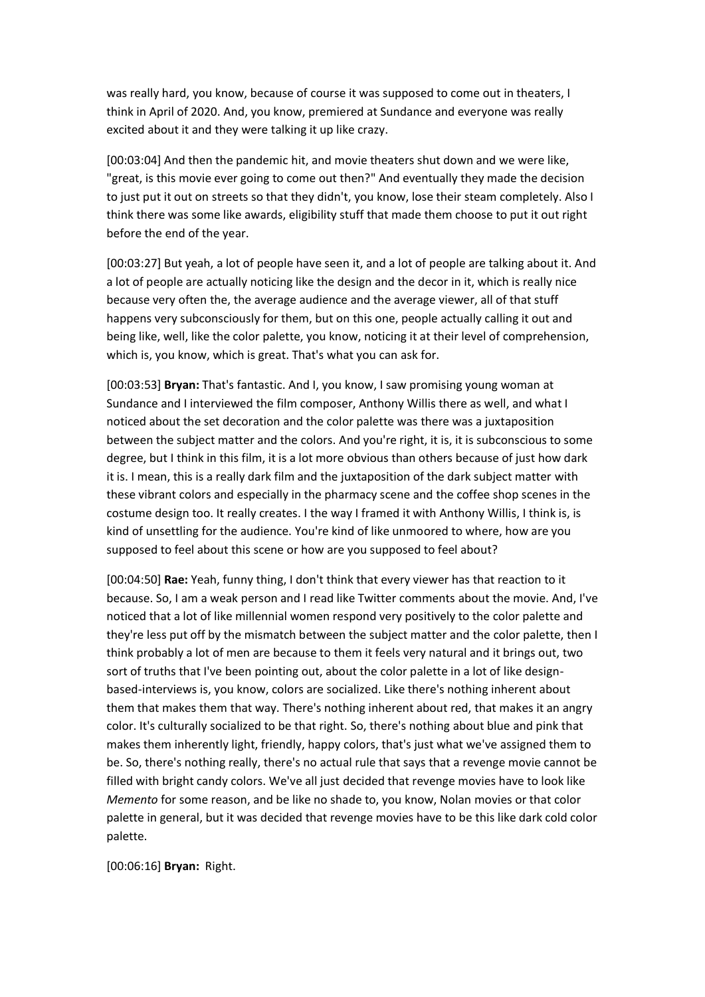was really hard, you know, because of course it was supposed to come out in theaters, I think in April of 2020. And, you know, premiered at Sundance and everyone was really excited about it and they were talking it up like crazy.

[00:03:04] And then the pandemic hit, and movie theaters shut down and we were like, "great, is this movie ever going to come out then?" And eventually they made the decision to just put it out on streets so that they didn't, you know, lose their steam completely. Also I think there was some like awards, eligibility stuff that made them choose to put it out right before the end of the year.

[00:03:27] But yeah, a lot of people have seen it, and a lot of people are talking about it. And a lot of people are actually noticing like the design and the decor in it, which is really nice because very often the, the average audience and the average viewer, all of that stuff happens very subconsciously for them, but on this one, people actually calling it out and being like, well, like the color palette, you know, noticing it at their level of comprehension, which is, you know, which is great. That's what you can ask for.

[00:03:53] **Bryan:** That's fantastic. And I, you know, I saw promising young woman at Sundance and I interviewed the film composer, Anthony Willis there as well, and what I noticed about the set decoration and the color palette was there was a juxtaposition between the subject matter and the colors. And you're right, it is, it is subconscious to some degree, but I think in this film, it is a lot more obvious than others because of just how dark it is. I mean, this is a really dark film and the juxtaposition of the dark subject matter with these vibrant colors and especially in the pharmacy scene and the coffee shop scenes in the costume design too. It really creates. I the way I framed it with Anthony Willis, I think is, is kind of unsettling for the audience. You're kind of like unmoored to where, how are you supposed to feel about this scene or how are you supposed to feel about?

[00:04:50] **Rae:** Yeah, funny thing, I don't think that every viewer has that reaction to it because. So, I am a weak person and I read like Twitter comments about the movie. And, I've noticed that a lot of like millennial women respond very positively to the color palette and they're less put off by the mismatch between the subject matter and the color palette, then I think probably a lot of men are because to them it feels very natural and it brings out, two sort of truths that I've been pointing out, about the color palette in a lot of like designbased-interviews is, you know, colors are socialized. Like there's nothing inherent about them that makes them that way. There's nothing inherent about red, that makes it an angry color. It's culturally socialized to be that right. So, there's nothing about blue and pink that makes them inherently light, friendly, happy colors, that's just what we've assigned them to be. So, there's nothing really, there's no actual rule that says that a revenge movie cannot be filled with bright candy colors. We've all just decided that revenge movies have to look like *Memento* for some reason, and be like no shade to, you know, Nolan movies or that color palette in general, but it was decided that revenge movies have to be this like dark cold color palette.

[00:06:16] **Bryan:** Right.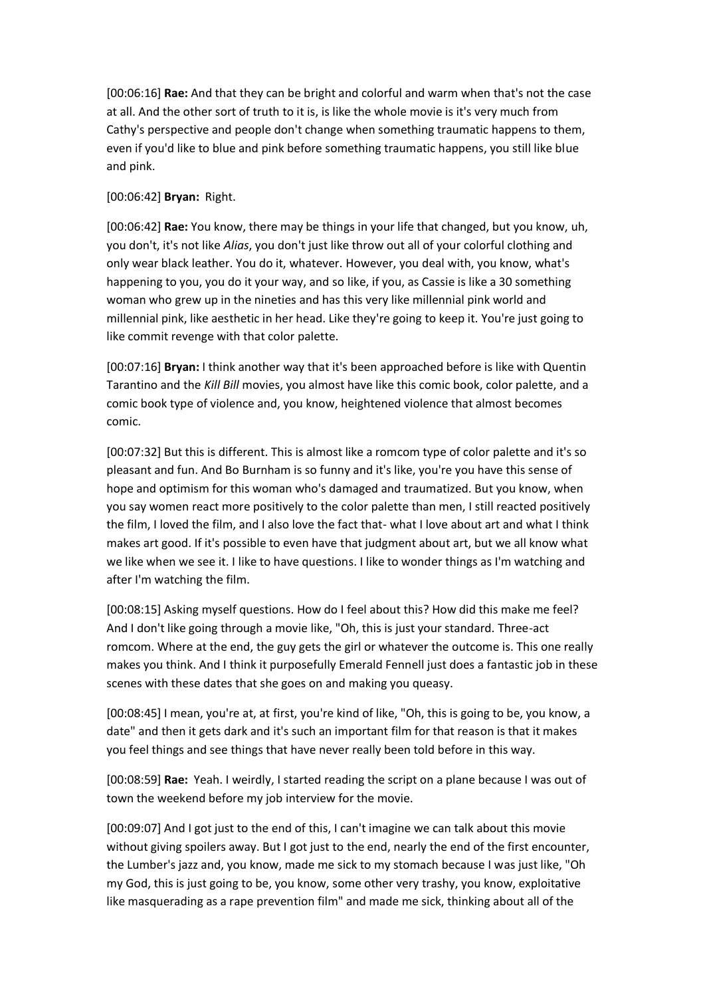[00:06:16] **Rae:** And that they can be bright and colorful and warm when that's not the case at all. And the other sort of truth to it is, is like the whole movie is it's very much from Cathy's perspective and people don't change when something traumatic happens to them, even if you'd like to blue and pink before something traumatic happens, you still like blue and pink.

# [00:06:42] **Bryan:** Right.

[00:06:42] **Rae:** You know, there may be things in your life that changed, but you know, uh, you don't, it's not like *Alias*, you don't just like throw out all of your colorful clothing and only wear black leather. You do it, whatever. However, you deal with, you know, what's happening to you, you do it your way, and so like, if you, as Cassie is like a 30 something woman who grew up in the nineties and has this very like millennial pink world and millennial pink, like aesthetic in her head. Like they're going to keep it. You're just going to like commit revenge with that color palette.

[00:07:16] **Bryan:** I think another way that it's been approached before is like with Quentin Tarantino and the *Kill Bill* movies, you almost have like this comic book, color palette, and a comic book type of violence and, you know, heightened violence that almost becomes comic.

[00:07:32] But this is different. This is almost like a romcom type of color palette and it's so pleasant and fun. And Bo Burnham is so funny and it's like, you're you have this sense of hope and optimism for this woman who's damaged and traumatized. But you know, when you say women react more positively to the color palette than men, I still reacted positively the film, I loved the film, and I also love the fact that- what I love about art and what I think makes art good. If it's possible to even have that judgment about art, but we all know what we like when we see it. I like to have questions. I like to wonder things as I'm watching and after I'm watching the film.

[00:08:15] Asking myself questions. How do I feel about this? How did this make me feel? And I don't like going through a movie like, "Oh, this is just your standard. Three-act romcom. Where at the end, the guy gets the girl or whatever the outcome is. This one really makes you think. And I think it purposefully Emerald Fennell just does a fantastic job in these scenes with these dates that she goes on and making you queasy.

[00:08:45] I mean, you're at, at first, you're kind of like, "Oh, this is going to be, you know, a date" and then it gets dark and it's such an important film for that reason is that it makes you feel things and see things that have never really been told before in this way.

[00:08:59] **Rae:** Yeah. I weirdly, I started reading the script on a plane because I was out of town the weekend before my job interview for the movie.

[00:09:07] And I got just to the end of this, I can't imagine we can talk about this movie without giving spoilers away. But I got just to the end, nearly the end of the first encounter, the Lumber's jazz and, you know, made me sick to my stomach because I was just like, "Oh my God, this is just going to be, you know, some other very trashy, you know, exploitative like masquerading as a rape prevention film" and made me sick, thinking about all of the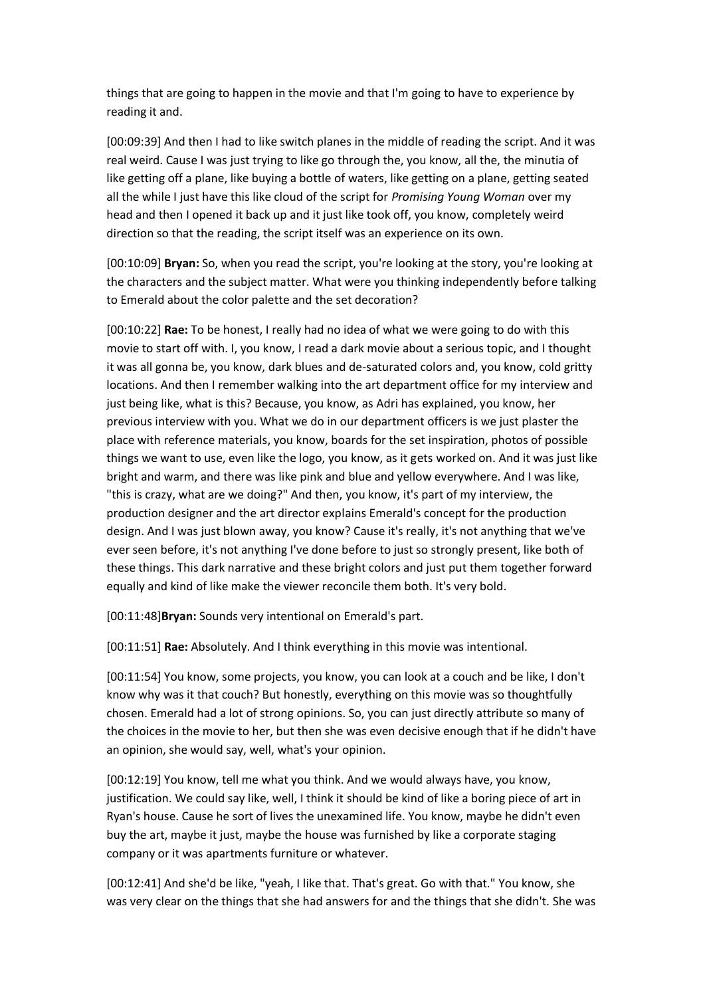things that are going to happen in the movie and that I'm going to have to experience by reading it and.

[00:09:39] And then I had to like switch planes in the middle of reading the script. And it was real weird. Cause I was just trying to like go through the, you know, all the, the minutia of like getting off a plane, like buying a bottle of waters, like getting on a plane, getting seated all the while I just have this like cloud of the script for *Promising Young Woman* over my head and then I opened it back up and it just like took off, you know, completely weird direction so that the reading, the script itself was an experience on its own.

[00:10:09] **Bryan:** So, when you read the script, you're looking at the story, you're looking at the characters and the subject matter. What were you thinking independently before talking to Emerald about the color palette and the set decoration?

[00:10:22] **Rae:** To be honest, I really had no idea of what we were going to do with this movie to start off with. I, you know, I read a dark movie about a serious topic, and I thought it was all gonna be, you know, dark blues and de-saturated colors and, you know, cold gritty locations. And then I remember walking into the art department office for my interview and just being like, what is this? Because, you know, as Adri has explained, you know, her previous interview with you. What we do in our department officers is we just plaster the place with reference materials, you know, boards for the set inspiration, photos of possible things we want to use, even like the logo, you know, as it gets worked on. And it was just like bright and warm, and there was like pink and blue and yellow everywhere. And I was like, "this is crazy, what are we doing?" And then, you know, it's part of my interview, the production designer and the art director explains Emerald's concept for the production design. And I was just blown away, you know? Cause it's really, it's not anything that we've ever seen before, it's not anything I've done before to just so strongly present, like both of these things. This dark narrative and these bright colors and just put them together forward equally and kind of like make the viewer reconcile them both. It's very bold.

[00:11:48]**Bryan:** Sounds very intentional on Emerald's part.

[00:11:51] **Rae:** Absolutely. And I think everything in this movie was intentional.

[00:11:54] You know, some projects, you know, you can look at a couch and be like, I don't know why was it that couch? But honestly, everything on this movie was so thoughtfully chosen. Emerald had a lot of strong opinions. So, you can just directly attribute so many of the choices in the movie to her, but then she was even decisive enough that if he didn't have an opinion, she would say, well, what's your opinion.

[00:12:19] You know, tell me what you think. And we would always have, you know, justification. We could say like, well, I think it should be kind of like a boring piece of art in Ryan's house. Cause he sort of lives the unexamined life. You know, maybe he didn't even buy the art, maybe it just, maybe the house was furnished by like a corporate staging company or it was apartments furniture or whatever.

[00:12:41] And she'd be like, "yeah, I like that. That's great. Go with that." You know, she was very clear on the things that she had answers for and the things that she didn't. She was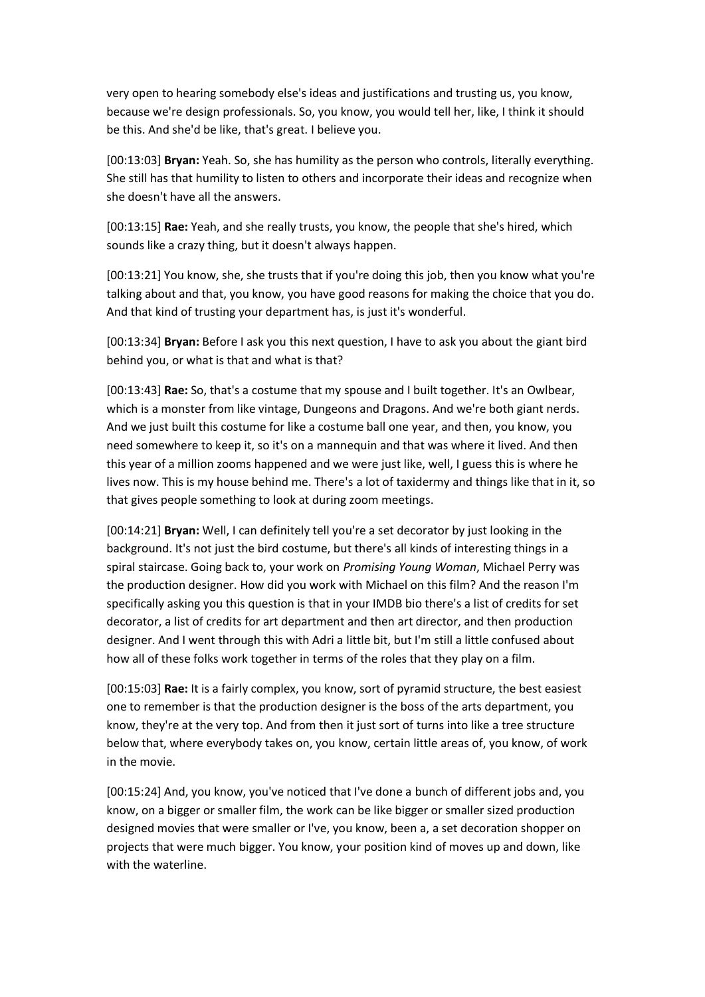very open to hearing somebody else's ideas and justifications and trusting us, you know, because we're design professionals. So, you know, you would tell her, like, I think it should be this. And she'd be like, that's great. I believe you.

[00:13:03] **Bryan:** Yeah. So, she has humility as the person who controls, literally everything. She still has that humility to listen to others and incorporate their ideas and recognize when she doesn't have all the answers.

[00:13:15] **Rae:** Yeah, and she really trusts, you know, the people that she's hired, which sounds like a crazy thing, but it doesn't always happen.

[00:13:21] You know, she, she trusts that if you're doing this job, then you know what you're talking about and that, you know, you have good reasons for making the choice that you do. And that kind of trusting your department has, is just it's wonderful.

[00:13:34] **Bryan:** Before I ask you this next question, I have to ask you about the giant bird behind you, or what is that and what is that?

[00:13:43] **Rae:** So, that's a costume that my spouse and I built together. It's an Owlbear, which is a monster from like vintage, Dungeons and Dragons. And we're both giant nerds. And we just built this costume for like a costume ball one year, and then, you know, you need somewhere to keep it, so it's on a mannequin and that was where it lived. And then this year of a million zooms happened and we were just like, well, I guess this is where he lives now. This is my house behind me. There's a lot of taxidermy and things like that in it, so that gives people something to look at during zoom meetings.

[00:14:21] **Bryan:** Well, I can definitely tell you're a set decorator by just looking in the background. It's not just the bird costume, but there's all kinds of interesting things in a spiral staircase. Going back to, your work on *Promising Young Woman*, Michael Perry was the production designer. How did you work with Michael on this film? And the reason I'm specifically asking you this question is that in your IMDB bio there's a list of credits for set decorator, a list of credits for art department and then art director, and then production designer. And I went through this with Adri a little bit, but I'm still a little confused about how all of these folks work together in terms of the roles that they play on a film.

[00:15:03] **Rae:** It is a fairly complex, you know, sort of pyramid structure, the best easiest one to remember is that the production designer is the boss of the arts department, you know, they're at the very top. And from then it just sort of turns into like a tree structure below that, where everybody takes on, you know, certain little areas of, you know, of work in the movie.

[00:15:24] And, you know, you've noticed that I've done a bunch of different jobs and, you know, on a bigger or smaller film, the work can be like bigger or smaller sized production designed movies that were smaller or I've, you know, been a, a set decoration shopper on projects that were much bigger. You know, your position kind of moves up and down, like with the waterline.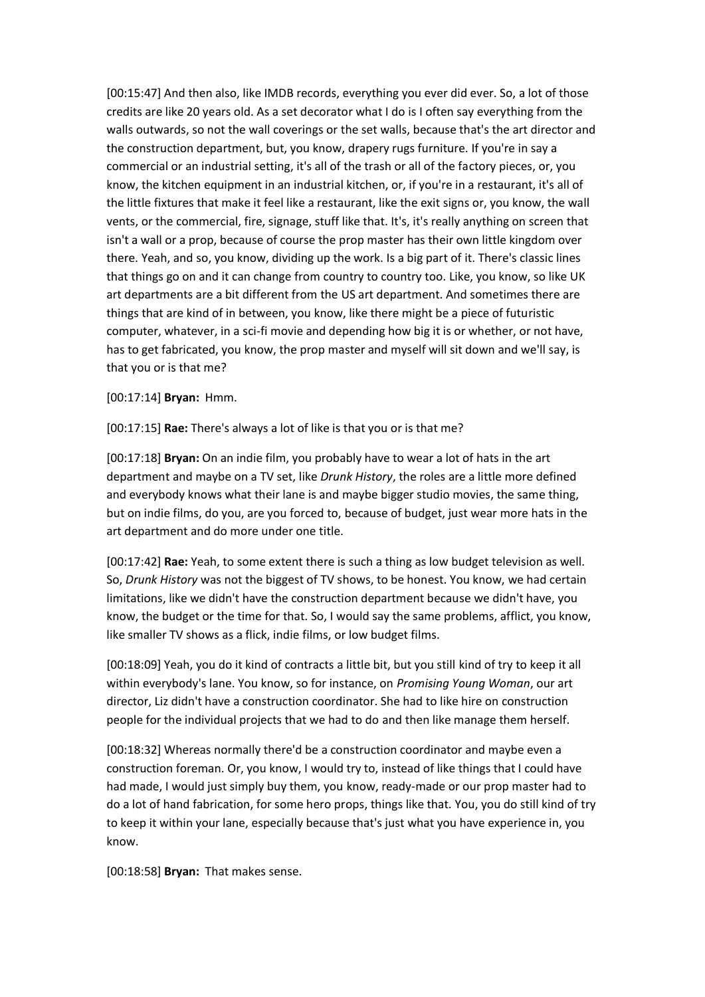[00:15:47] And then also, like IMDB records, everything you ever did ever. So, a lot of those credits are like 20 years old. As a set decorator what I do is I often say everything from the walls outwards, so not the wall coverings or the set walls, because that's the art director and the construction department, but, you know, drapery rugs furniture. If you're in say a commercial or an industrial setting, it's all of the trash or all of the factory pieces, or, you know, the kitchen equipment in an industrial kitchen, or, if you're in a restaurant, it's all of the little fixtures that make it feel like a restaurant, like the exit signs or, you know, the wall vents, or the commercial, fire, signage, stuff like that. It's, it's really anything on screen that isn't a wall or a prop, because of course the prop master has their own little kingdom over there. Yeah, and so, you know, dividing up the work. Is a big part of it. There's classic lines that things go on and it can change from country to country too. Like, you know, so like UK art departments are a bit different from the US art department. And sometimes there are things that are kind of in between, you know, like there might be a piece of futuristic computer, whatever, in a sci-fi movie and depending how big it is or whether, or not have, has to get fabricated, you know, the prop master and myself will sit down and we'll say, is that you or is that me?

[00:17:14] **Bryan:** Hmm.

[00:17:15] **Rae:** There's always a lot of like is that you or is that me?

[00:17:18] **Bryan:** On an indie film, you probably have to wear a lot of hats in the art department and maybe on a TV set, like *Drunk History*, the roles are a little more defined and everybody knows what their lane is and maybe bigger studio movies, the same thing, but on indie films, do you, are you forced to, because of budget, just wear more hats in the art department and do more under one title.

[00:17:42] **Rae:** Yeah, to some extent there is such a thing as low budget television as well. So, *Drunk History* was not the biggest of TV shows, to be honest. You know, we had certain limitations, like we didn't have the construction department because we didn't have, you know, the budget or the time for that. So, I would say the same problems, afflict, you know, like smaller TV shows as a flick, indie films, or low budget films.

[00:18:09] Yeah, you do it kind of contracts a little bit, but you still kind of try to keep it all within everybody's lane. You know, so for instance, on *Promising Young Woman*, our art director, Liz didn't have a construction coordinator. She had to like hire on construction people for the individual projects that we had to do and then like manage them herself.

[00:18:32] Whereas normally there'd be a construction coordinator and maybe even a construction foreman. Or, you know, I would try to, instead of like things that I could have had made, I would just simply buy them, you know, ready-made or our prop master had to do a lot of hand fabrication, for some hero props, things like that. You, you do still kind of try to keep it within your lane, especially because that's just what you have experience in, you know.

[00:18:58] **Bryan:** That makes sense.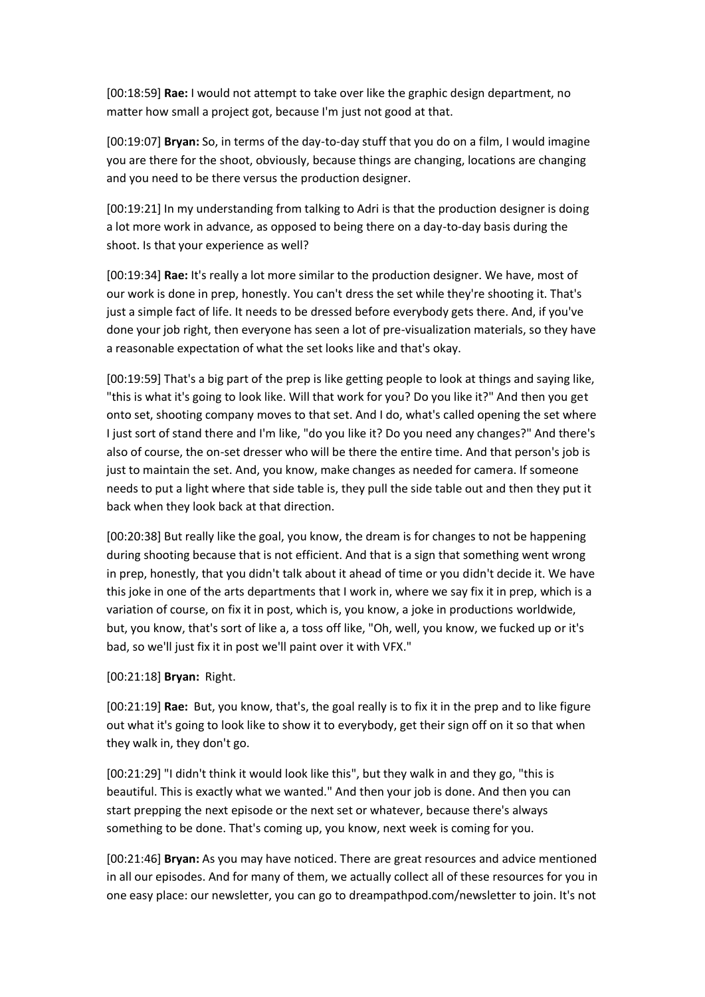[00:18:59] **Rae:** I would not attempt to take over like the graphic design department, no matter how small a project got, because I'm just not good at that.

[00:19:07] **Bryan:** So, in terms of the day-to-day stuff that you do on a film, I would imagine you are there for the shoot, obviously, because things are changing, locations are changing and you need to be there versus the production designer.

[00:19:21] In my understanding from talking to Adri is that the production designer is doing a lot more work in advance, as opposed to being there on a day-to-day basis during the shoot. Is that your experience as well?

[00:19:34] **Rae:** It's really a lot more similar to the production designer. We have, most of our work is done in prep, honestly. You can't dress the set while they're shooting it. That's just a simple fact of life. It needs to be dressed before everybody gets there. And, if you've done your job right, then everyone has seen a lot of pre-visualization materials, so they have a reasonable expectation of what the set looks like and that's okay.

[00:19:59] That's a big part of the prep is like getting people to look at things and saying like, "this is what it's going to look like. Will that work for you? Do you like it?" And then you get onto set, shooting company moves to that set. And I do, what's called opening the set where I just sort of stand there and I'm like, "do you like it? Do you need any changes?" And there's also of course, the on-set dresser who will be there the entire time. And that person's job is just to maintain the set. And, you know, make changes as needed for camera. If someone needs to put a light where that side table is, they pull the side table out and then they put it back when they look back at that direction.

[00:20:38] But really like the goal, you know, the dream is for changes to not be happening during shooting because that is not efficient. And that is a sign that something went wrong in prep, honestly, that you didn't talk about it ahead of time or you didn't decide it. We have this joke in one of the arts departments that I work in, where we say fix it in prep, which is a variation of course, on fix it in post, which is, you know, a joke in productions worldwide, but, you know, that's sort of like a, a toss off like, "Oh, well, you know, we fucked up or it's bad, so we'll just fix it in post we'll paint over it with VFX."

### [00:21:18] **Bryan:** Right.

[00:21:19] **Rae:** But, you know, that's, the goal really is to fix it in the prep and to like figure out what it's going to look like to show it to everybody, get their sign off on it so that when they walk in, they don't go.

[00:21:29] "I didn't think it would look like this", but they walk in and they go, "this is beautiful. This is exactly what we wanted." And then your job is done. And then you can start prepping the next episode or the next set or whatever, because there's always something to be done. That's coming up, you know, next week is coming for you.

[00:21:46] **Bryan:** As you may have noticed. There are great resources and advice mentioned in all our episodes. And for many of them, we actually collect all of these resources for you in one easy place: our newsletter, you can go to dreampathpod.com/newsletter to join. It's not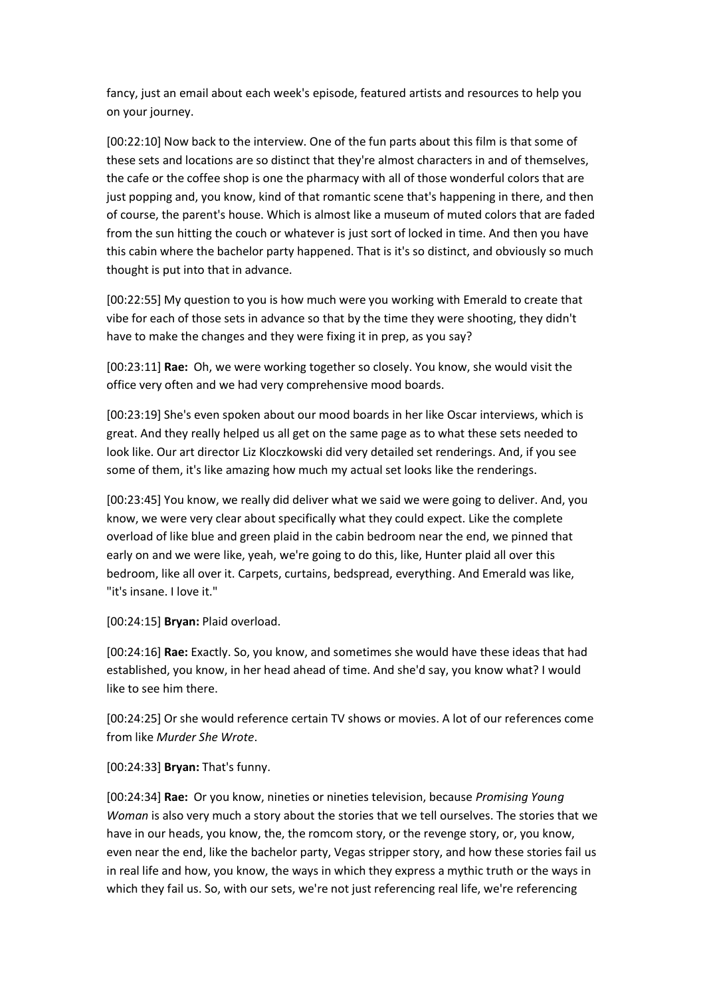fancy, just an email about each week's episode, featured artists and resources to help you on your journey.

[00:22:10] Now back to the interview. One of the fun parts about this film is that some of these sets and locations are so distinct that they're almost characters in and of themselves, the cafe or the coffee shop is one the pharmacy with all of those wonderful colors that are just popping and, you know, kind of that romantic scene that's happening in there, and then of course, the parent's house. Which is almost like a museum of muted colors that are faded from the sun hitting the couch or whatever is just sort of locked in time. And then you have this cabin where the bachelor party happened. That is it's so distinct, and obviously so much thought is put into that in advance.

[00:22:55] My question to you is how much were you working with Emerald to create that vibe for each of those sets in advance so that by the time they were shooting, they didn't have to make the changes and they were fixing it in prep, as you say?

[00:23:11] **Rae:** Oh, we were working together so closely. You know, she would visit the office very often and we had very comprehensive mood boards.

[00:23:19] She's even spoken about our mood boards in her like Oscar interviews, which is great. And they really helped us all get on the same page as to what these sets needed to look like. Our art director Liz Kloczkowski did very detailed set renderings. And, if you see some of them, it's like amazing how much my actual set looks like the renderings.

[00:23:45] You know, we really did deliver what we said we were going to deliver. And, you know, we were very clear about specifically what they could expect. Like the complete overload of like blue and green plaid in the cabin bedroom near the end, we pinned that early on and we were like, yeah, we're going to do this, like, Hunter plaid all over this bedroom, like all over it. Carpets, curtains, bedspread, everything. And Emerald was like, "it's insane. I love it."

[00:24:15] **Bryan:** Plaid overload.

[00:24:16] **Rae:** Exactly. So, you know, and sometimes she would have these ideas that had established, you know, in her head ahead of time. And she'd say, you know what? I would like to see him there.

[00:24:25] Or she would reference certain TV shows or movies. A lot of our references come from like *Murder She Wrote*.

[00:24:33] **Bryan:** That's funny.

[00:24:34] **Rae:** Or you know, nineties or nineties television, because *Promising Young Woman* is also very much a story about the stories that we tell ourselves. The stories that we have in our heads, you know, the, the romcom story, or the revenge story, or, you know, even near the end, like the bachelor party, Vegas stripper story, and how these stories fail us in real life and how, you know, the ways in which they express a mythic truth or the ways in which they fail us. So, with our sets, we're not just referencing real life, we're referencing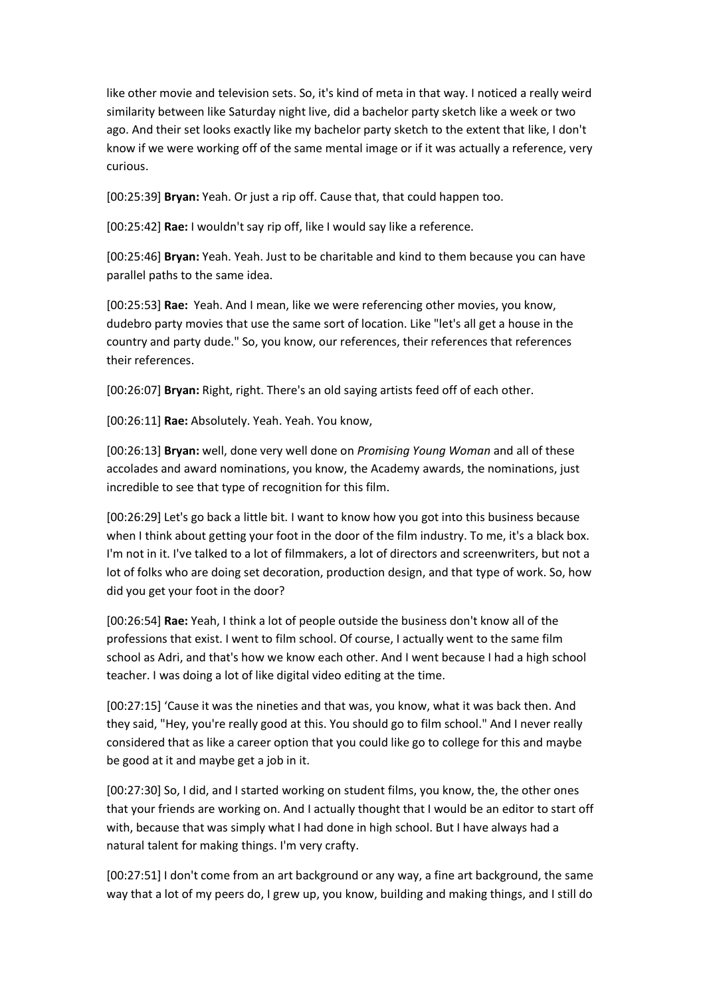like other movie and television sets. So, it's kind of meta in that way. I noticed a really weird similarity between like Saturday night live, did a bachelor party sketch like a week or two ago. And their set looks exactly like my bachelor party sketch to the extent that like, I don't know if we were working off of the same mental image or if it was actually a reference, very curious.

[00:25:39] **Bryan:** Yeah. Or just a rip off. Cause that, that could happen too.

[00:25:42] **Rae:** I wouldn't say rip off, like I would say like a reference.

[00:25:46] **Bryan:** Yeah. Yeah. Just to be charitable and kind to them because you can have parallel paths to the same idea.

[00:25:53] **Rae:** Yeah. And I mean, like we were referencing other movies, you know, dudebro party movies that use the same sort of location. Like "let's all get a house in the country and party dude." So, you know, our references, their references that references their references.

[00:26:07] **Bryan:** Right, right. There's an old saying artists feed off of each other.

[00:26:11] **Rae:** Absolutely. Yeah. Yeah. You know,

[00:26:13] **Bryan:** well, done very well done on *Promising Young Woman* and all of these accolades and award nominations, you know, the Academy awards, the nominations, just incredible to see that type of recognition for this film.

[00:26:29] Let's go back a little bit. I want to know how you got into this business because when I think about getting your foot in the door of the film industry. To me, it's a black box. I'm not in it. I've talked to a lot of filmmakers, a lot of directors and screenwriters, but not a lot of folks who are doing set decoration, production design, and that type of work. So, how did you get your foot in the door?

[00:26:54] **Rae:** Yeah, I think a lot of people outside the business don't know all of the professions that exist. I went to film school. Of course, I actually went to the same film school as Adri, and that's how we know each other. And I went because I had a high school teacher. I was doing a lot of like digital video editing at the time.

[00:27:15] 'Cause it was the nineties and that was, you know, what it was back then. And they said, "Hey, you're really good at this. You should go to film school." And I never really considered that as like a career option that you could like go to college for this and maybe be good at it and maybe get a job in it.

[00:27:30] So, I did, and I started working on student films, you know, the, the other ones that your friends are working on. And I actually thought that I would be an editor to start off with, because that was simply what I had done in high school. But I have always had a natural talent for making things. I'm very crafty.

[00:27:51] I don't come from an art background or any way, a fine art background, the same way that a lot of my peers do, I grew up, you know, building and making things, and I still do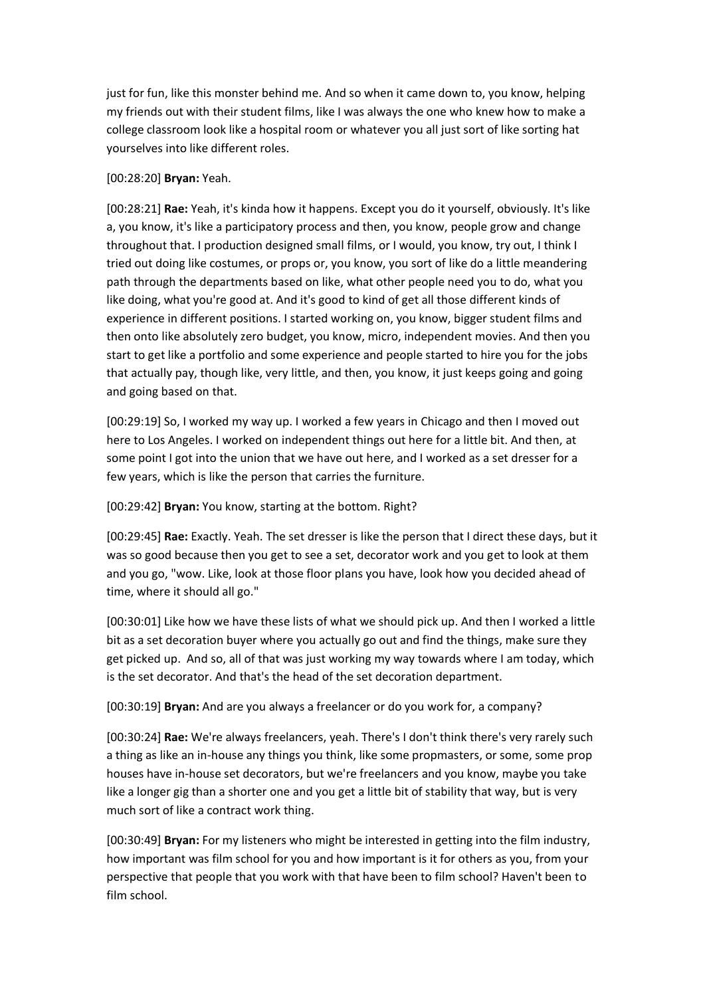just for fun, like this monster behind me. And so when it came down to, you know, helping my friends out with their student films, like I was always the one who knew how to make a college classroom look like a hospital room or whatever you all just sort of like sorting hat yourselves into like different roles.

# [00:28:20] **Bryan:** Yeah.

[00:28:21] **Rae:** Yeah, it's kinda how it happens. Except you do it yourself, obviously. It's like a, you know, it's like a participatory process and then, you know, people grow and change throughout that. I production designed small films, or I would, you know, try out, I think I tried out doing like costumes, or props or, you know, you sort of like do a little meandering path through the departments based on like, what other people need you to do, what you like doing, what you're good at. And it's good to kind of get all those different kinds of experience in different positions. I started working on, you know, bigger student films and then onto like absolutely zero budget, you know, micro, independent movies. And then you start to get like a portfolio and some experience and people started to hire you for the jobs that actually pay, though like, very little, and then, you know, it just keeps going and going and going based on that.

[00:29:19] So, I worked my way up. I worked a few years in Chicago and then I moved out here to Los Angeles. I worked on independent things out here for a little bit. And then, at some point I got into the union that we have out here, and I worked as a set dresser for a few years, which is like the person that carries the furniture.

# [00:29:42] **Bryan:** You know, starting at the bottom. Right?

[00:29:45] **Rae:** Exactly. Yeah. The set dresser is like the person that I direct these days, but it was so good because then you get to see a set, decorator work and you get to look at them and you go, "wow. Like, look at those floor plans you have, look how you decided ahead of time, where it should all go."

[00:30:01] Like how we have these lists of what we should pick up. And then I worked a little bit as a set decoration buyer where you actually go out and find the things, make sure they get picked up. And so, all of that was just working my way towards where I am today, which is the set decorator. And that's the head of the set decoration department.

[00:30:19] **Bryan:** And are you always a freelancer or do you work for, a company?

[00:30:24] **Rae:** We're always freelancers, yeah. There's I don't think there's very rarely such a thing as like an in-house any things you think, like some propmasters, or some, some prop houses have in-house set decorators, but we're freelancers and you know, maybe you take like a longer gig than a shorter one and you get a little bit of stability that way, but is very much sort of like a contract work thing.

[00:30:49] **Bryan:** For my listeners who might be interested in getting into the film industry, how important was film school for you and how important is it for others as you, from your perspective that people that you work with that have been to film school? Haven't been to film school.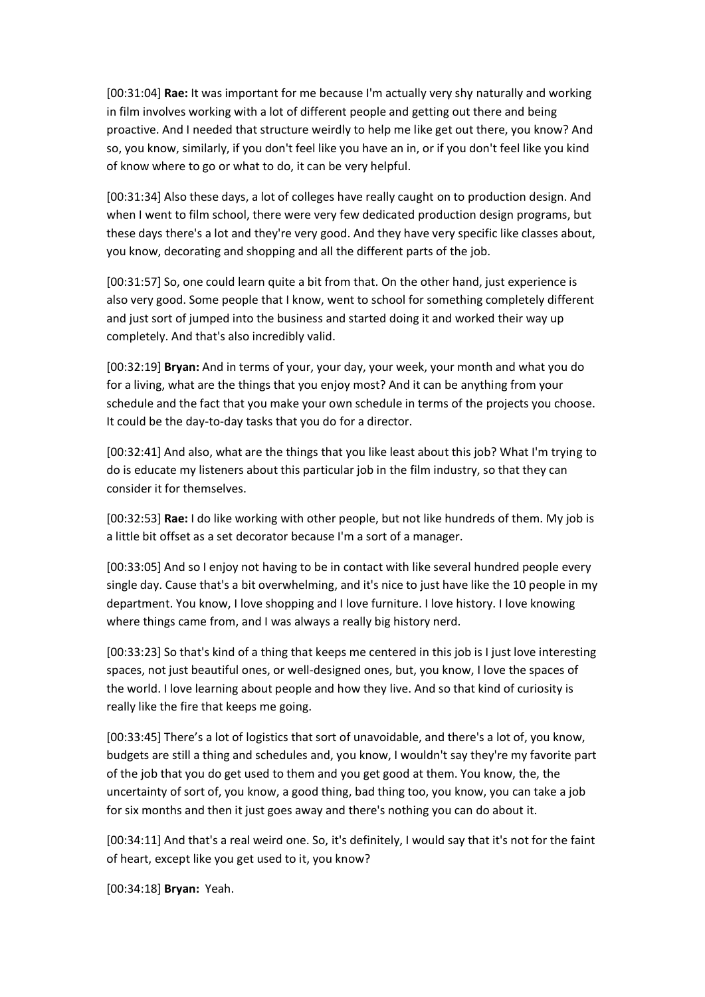[00:31:04] **Rae:** It was important for me because I'm actually very shy naturally and working in film involves working with a lot of different people and getting out there and being proactive. And I needed that structure weirdly to help me like get out there, you know? And so, you know, similarly, if you don't feel like you have an in, or if you don't feel like you kind of know where to go or what to do, it can be very helpful.

[00:31:34] Also these days, a lot of colleges have really caught on to production design. And when I went to film school, there were very few dedicated production design programs, but these days there's a lot and they're very good. And they have very specific like classes about, you know, decorating and shopping and all the different parts of the job.

[00:31:57] So, one could learn quite a bit from that. On the other hand, just experience is also very good. Some people that I know, went to school for something completely different and just sort of jumped into the business and started doing it and worked their way up completely. And that's also incredibly valid.

[00:32:19] **Bryan:** And in terms of your, your day, your week, your month and what you do for a living, what are the things that you enjoy most? And it can be anything from your schedule and the fact that you make your own schedule in terms of the projects you choose. It could be the day-to-day tasks that you do for a director.

[00:32:41] And also, what are the things that you like least about this job? What I'm trying to do is educate my listeners about this particular job in the film industry, so that they can consider it for themselves.

[00:32:53] **Rae:** I do like working with other people, but not like hundreds of them. My job is a little bit offset as a set decorator because I'm a sort of a manager.

[00:33:05] And so I enjoy not having to be in contact with like several hundred people every single day. Cause that's a bit overwhelming, and it's nice to just have like the 10 people in my department. You know, I love shopping and I love furniture. I love history. I love knowing where things came from, and I was always a really big history nerd.

[00:33:23] So that's kind of a thing that keeps me centered in this job is I just love interesting spaces, not just beautiful ones, or well-designed ones, but, you know, I love the spaces of the world. I love learning about people and how they live. And so that kind of curiosity is really like the fire that keeps me going.

[00:33:45] There's a lot of logistics that sort of unavoidable, and there's a lot of, you know, budgets are still a thing and schedules and, you know, I wouldn't say they're my favorite part of the job that you do get used to them and you get good at them. You know, the, the uncertainty of sort of, you know, a good thing, bad thing too, you know, you can take a job for six months and then it just goes away and there's nothing you can do about it.

[00:34:11] And that's a real weird one. So, it's definitely, I would say that it's not for the faint of heart, except like you get used to it, you know?

[00:34:18] **Bryan:** Yeah.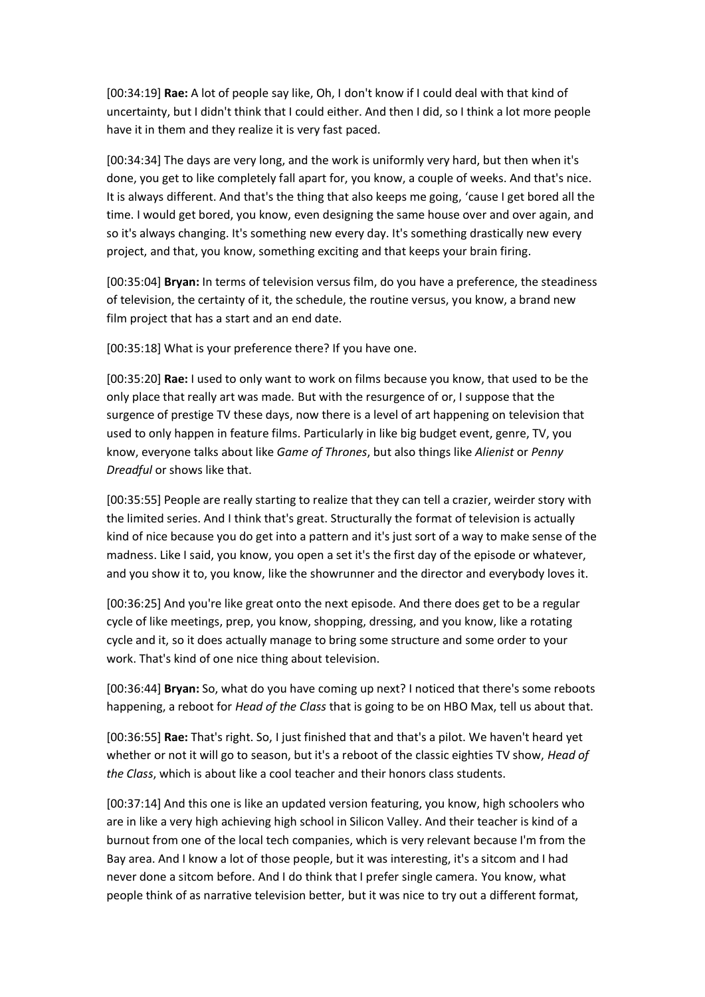[00:34:19] **Rae:** A lot of people say like, Oh, I don't know if I could deal with that kind of uncertainty, but I didn't think that I could either. And then I did, so I think a lot more people have it in them and they realize it is very fast paced.

[00:34:34] The days are very long, and the work is uniformly very hard, but then when it's done, you get to like completely fall apart for, you know, a couple of weeks. And that's nice. It is always different. And that's the thing that also keeps me going, 'cause I get bored all the time. I would get bored, you know, even designing the same house over and over again, and so it's always changing. It's something new every day. It's something drastically new every project, and that, you know, something exciting and that keeps your brain firing.

[00:35:04] **Bryan:** In terms of television versus film, do you have a preference, the steadiness of television, the certainty of it, the schedule, the routine versus, you know, a brand new film project that has a start and an end date.

[00:35:18] What is your preference there? If you have one.

[00:35:20] **Rae:** I used to only want to work on films because you know, that used to be the only place that really art was made. But with the resurgence of or, I suppose that the surgence of prestige TV these days, now there is a level of art happening on television that used to only happen in feature films. Particularly in like big budget event, genre, TV, you know, everyone talks about like *Game of Thrones*, but also things like *Alienist* or *Penny Dreadful* or shows like that.

[00:35:55] People are really starting to realize that they can tell a crazier, weirder story with the limited series. And I think that's great. Structurally the format of television is actually kind of nice because you do get into a pattern and it's just sort of a way to make sense of the madness. Like I said, you know, you open a set it's the first day of the episode or whatever, and you show it to, you know, like the showrunner and the director and everybody loves it.

[00:36:25] And you're like great onto the next episode. And there does get to be a regular cycle of like meetings, prep, you know, shopping, dressing, and you know, like a rotating cycle and it, so it does actually manage to bring some structure and some order to your work. That's kind of one nice thing about television.

[00:36:44] **Bryan:** So, what do you have coming up next? I noticed that there's some reboots happening, a reboot for *Head of the Class* that is going to be on HBO Max, tell us about that.

[00:36:55] **Rae:** That's right. So, I just finished that and that's a pilot. We haven't heard yet whether or not it will go to season, but it's a reboot of the classic eighties TV show, *Head of the Class*, which is about like a cool teacher and their honors class students.

[00:37:14] And this one is like an updated version featuring, you know, high schoolers who are in like a very high achieving high school in Silicon Valley. And their teacher is kind of a burnout from one of the local tech companies, which is very relevant because I'm from the Bay area. And I know a lot of those people, but it was interesting, it's a sitcom and I had never done a sitcom before. And I do think that I prefer single camera. You know, what people think of as narrative television better, but it was nice to try out a different format,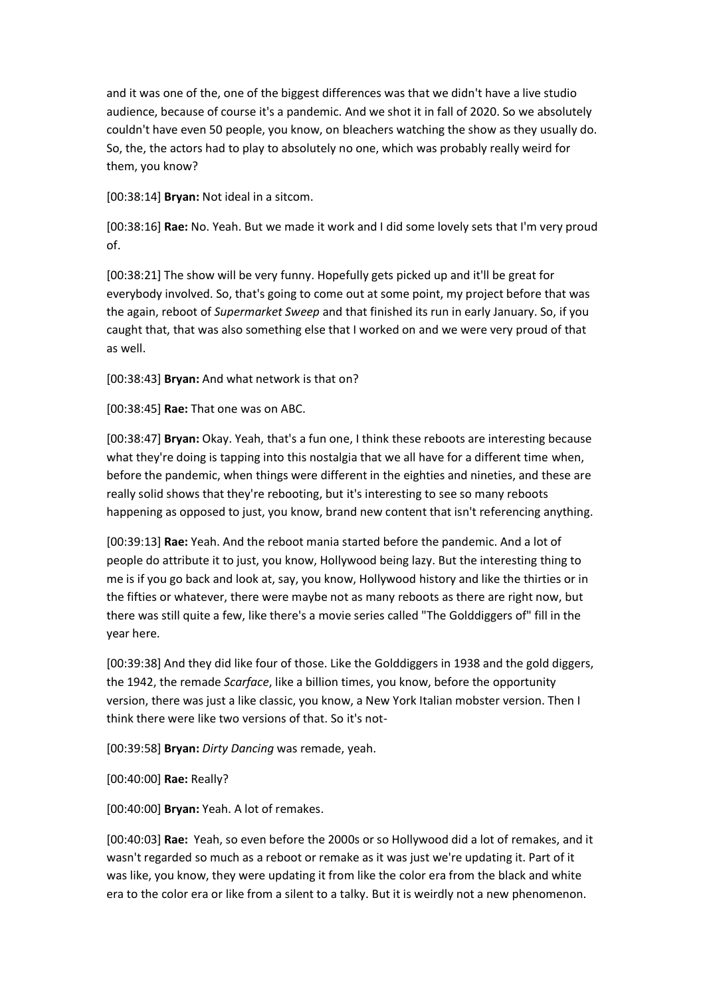and it was one of the, one of the biggest differences was that we didn't have a live studio audience, because of course it's a pandemic. And we shot it in fall of 2020. So we absolutely couldn't have even 50 people, you know, on bleachers watching the show as they usually do. So, the, the actors had to play to absolutely no one, which was probably really weird for them, you know?

[00:38:14] **Bryan:** Not ideal in a sitcom.

[00:38:16] **Rae:** No. Yeah. But we made it work and I did some lovely sets that I'm very proud of.

[00:38:21] The show will be very funny. Hopefully gets picked up and it'll be great for everybody involved. So, that's going to come out at some point, my project before that was the again, reboot of *Supermarket Sweep* and that finished its run in early January. So, if you caught that, that was also something else that I worked on and we were very proud of that as well.

[00:38:43] **Bryan:** And what network is that on?

[00:38:45] **Rae:** That one was on ABC.

[00:38:47] **Bryan:** Okay. Yeah, that's a fun one, I think these reboots are interesting because what they're doing is tapping into this nostalgia that we all have for a different time when, before the pandemic, when things were different in the eighties and nineties, and these are really solid shows that they're rebooting, but it's interesting to see so many reboots happening as opposed to just, you know, brand new content that isn't referencing anything.

[00:39:13] **Rae:** Yeah. And the reboot mania started before the pandemic. And a lot of people do attribute it to just, you know, Hollywood being lazy. But the interesting thing to me is if you go back and look at, say, you know, Hollywood history and like the thirties or in the fifties or whatever, there were maybe not as many reboots as there are right now, but there was still quite a few, like there's a movie series called "The Golddiggers of" fill in the year here.

[00:39:38] And they did like four of those. Like the Golddiggers in 1938 and the gold diggers, the 1942, the remade *Scarface*, like a billion times, you know, before the opportunity version, there was just a like classic, you know, a New York Italian mobster version. Then I think there were like two versions of that. So it's not-

[00:39:58] **Bryan:** *Dirty Dancing* was remade, yeah.

[00:40:00] **Rae:** Really?

[00:40:00] **Bryan:** Yeah. A lot of remakes.

[00:40:03] **Rae:** Yeah, so even before the 2000s or so Hollywood did a lot of remakes, and it wasn't regarded so much as a reboot or remake as it was just we're updating it. Part of it was like, you know, they were updating it from like the color era from the black and white era to the color era or like from a silent to a talky. But it is weirdly not a new phenomenon.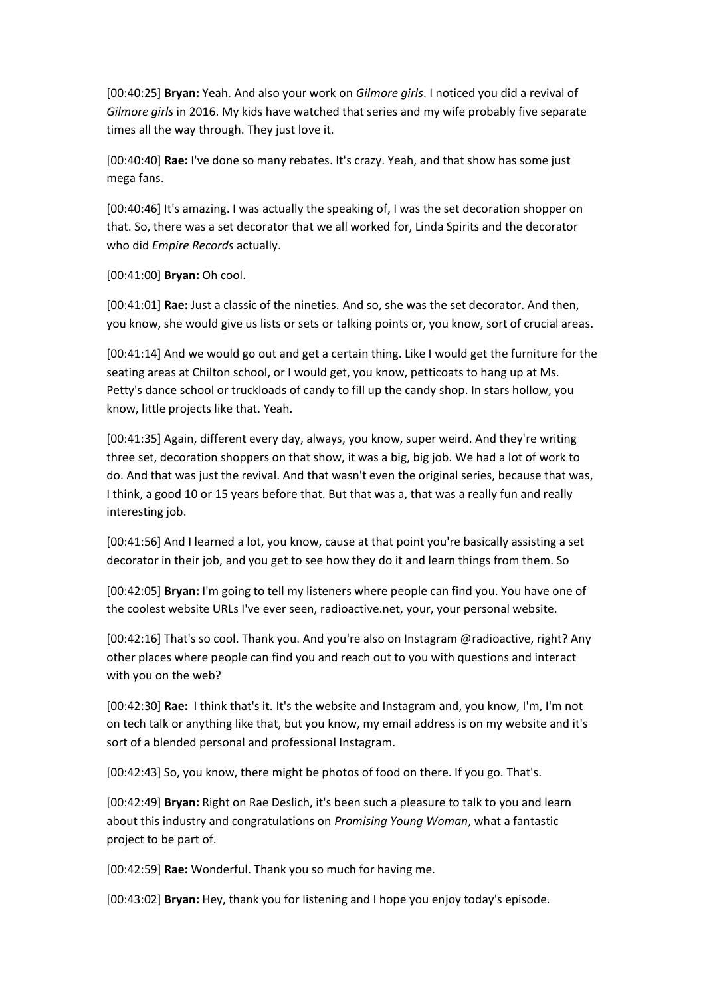[00:40:25] **Bryan:** Yeah. And also your work on *Gilmore girls*. I noticed you did a revival of *Gilmore girls* in 2016. My kids have watched that series and my wife probably five separate times all the way through. They just love it.

[00:40:40] **Rae:** I've done so many rebates. It's crazy. Yeah, and that show has some just mega fans.

[00:40:46] It's amazing. I was actually the speaking of, I was the set decoration shopper on that. So, there was a set decorator that we all worked for, Linda Spirits and the decorator who did *Empire Records* actually.

[00:41:00] **Bryan:** Oh cool.

[00:41:01] **Rae:** Just a classic of the nineties. And so, she was the set decorator. And then, you know, she would give us lists or sets or talking points or, you know, sort of crucial areas.

[00:41:14] And we would go out and get a certain thing. Like I would get the furniture for the seating areas at Chilton school, or I would get, you know, petticoats to hang up at Ms. Petty's dance school or truckloads of candy to fill up the candy shop. In stars hollow, you know, little projects like that. Yeah.

[00:41:35] Again, different every day, always, you know, super weird. And they're writing three set, decoration shoppers on that show, it was a big, big job. We had a lot of work to do. And that was just the revival. And that wasn't even the original series, because that was, I think, a good 10 or 15 years before that. But that was a, that was a really fun and really interesting job.

[00:41:56] And I learned a lot, you know, cause at that point you're basically assisting a set decorator in their job, and you get to see how they do it and learn things from them. So

[00:42:05] **Bryan:** I'm going to tell my listeners where people can find you. You have one of the coolest website URLs I've ever seen, radioactive.net, your, your personal website.

[00:42:16] That's so cool. Thank you. And you're also on Instagram @radioactive, right? Any other places where people can find you and reach out to you with questions and interact with you on the web?

[00:42:30] **Rae:** I think that's it. It's the website and Instagram and, you know, I'm, I'm not on tech talk or anything like that, but you know, my email address is on my website and it's sort of a blended personal and professional Instagram.

[00:42:43] So, you know, there might be photos of food on there. If you go. That's.

[00:42:49] **Bryan:** Right on Rae Deslich, it's been such a pleasure to talk to you and learn about this industry and congratulations on *Promising Young Woman*, what a fantastic project to be part of.

[00:42:59] **Rae:** Wonderful. Thank you so much for having me.

[00:43:02] **Bryan:** Hey, thank you for listening and I hope you enjoy today's episode.